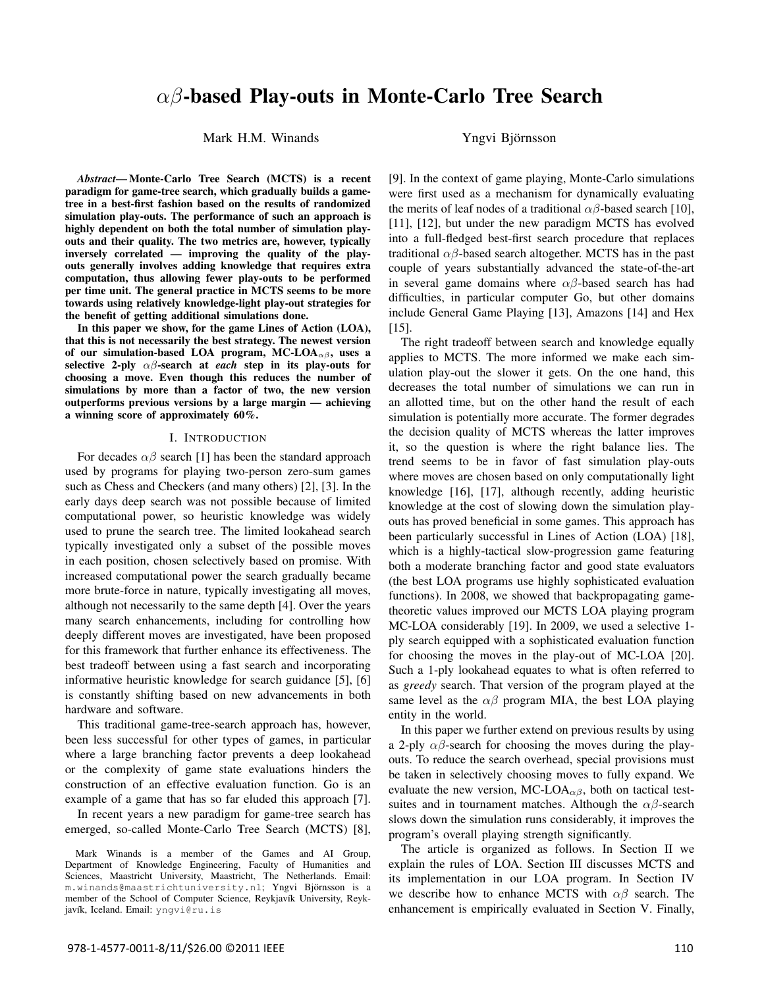# *αβ*-based Play-outs in Monte-Carlo Tree Search

Mark H.M. Winands in The Yngvi Björnsson

*Abstract*— Monte-Carlo Tree Search (MCTS) is a recent paradigm for game-tree search, which gradually builds a gametree in a best-first fashion based on the results of randomized simulation play-outs. The performance of such an approach is highly dependent on both the total number of simulation playouts and their quality. The two metrics are, however, typically inversely correlated — improving the quality of the playouts generally involves adding knowledge that requires extra computation, thus allowing fewer play-outs to be performed per time unit. The general practice in MCTS seems to be more towards using relatively knowledge-light play-out strategies for the benefit of getting additional simulations done.

In this paper we show, for the game Lines of Action (LOA), that this is not necessarily the best strategy. The newest version of our simulation-based LOA program, MC-LOA*αβ*, uses a selective 2-ply *αβ*-search at *each* step in its play-outs for choosing a move. Even though this reduces the number of simulations by more than a factor of two, the new version outperforms previous versions by a large margin — achieving a winning score of approximately 60%.

#### I. INTRODUCTION

For decades  $\alpha\beta$  search [1] has been the standard approach used by programs for playing two-person zero-sum games such as Chess and Checkers (and many others) [2], [3]. In the early days deep search was not possible because of limited computational power, so heuristic knowledge was widely used to prune the search tree. The limited lookahead search typically investigated only a subset of the possible moves in each position, chosen selectively based on promise. With increased computational power the search gradually became more brute-force in nature, typically investigating all moves, although not necessarily to the same depth [4]. Over the years many search enhancements, including for controlling how deeply different moves are investigated, have been proposed for this framework that further enhance its effectiveness. The best tradeoff between using a fast search and incorporating informative heuristic knowledge for search guidance [5], [6] is constantly shifting based on new advancements in both hardware and software.

This traditional game-tree-search approach has, however, been less successful for other types of games, in particular where a large branching factor prevents a deep lookahead or the complexity of game state evaluations hinders the construction of an effective evaluation function. Go is an example of a game that has so far eluded this approach [7].

In recent years a new paradigm for game-tree search has emerged, so-called Monte-Carlo Tree Search (MCTS) [8],

[9]. In the context of game playing, Monte-Carlo simulations were first used as a mechanism for dynamically evaluating the merits of leaf nodes of a traditional  $\alpha\beta$ -based search [10], [11], [12], but under the new paradigm MCTS has evolved into a full-fledged best-first search procedure that replaces traditional *αβ*-based search altogether. MCTS has in the past couple of years substantially advanced the state-of-the-art in several game domains where *αβ*-based search has had difficulties, in particular computer Go, but other domains include General Game Playing [13], Amazons [14] and Hex [15].

The right tradeoff between search and knowledge equally applies to MCTS. The more informed we make each simulation play-out the slower it gets. On the one hand, this decreases the total number of simulations we can run in an allotted time, but on the other hand the result of each simulation is potentially more accurate. The former degrades the decision quality of MCTS whereas the latter improves it, so the question is where the right balance lies. The trend seems to be in favor of fast simulation play-outs where moves are chosen based on only computationally light knowledge [16], [17], although recently, adding heuristic knowledge at the cost of slowing down the simulation playouts has proved beneficial in some games. This approach has been particularly successful in Lines of Action (LOA) [18], which is a highly-tactical slow-progression game featuring both a moderate branching factor and good state evaluators (the best LOA programs use highly sophisticated evaluation functions). In 2008, we showed that backpropagating gametheoretic values improved our MCTS LOA playing program MC-LOA considerably [19]. In 2009, we used a selective 1 ply search equipped with a sophisticated evaluation function for choosing the moves in the play-out of MC-LOA [20]. Such a 1-ply lookahead equates to what is often referred to as *greedy* search. That version of the program played at the same level as the  $\alpha\beta$  program MIA, the best LOA playing entity in the world.

In this paper we further extend on previous results by using a 2-ply  $\alpha\beta$ -search for choosing the moves during the playouts. To reduce the search overhead, special provisions must be taken in selectively choosing moves to fully expand. We evaluate the new version, MC-LOA<sub> $\alpha\beta$ </sub>, both on tactical testsuites and in tournament matches. Although the  $\alpha\beta$ -search slows down the simulation runs considerably, it improves the program's overall playing strength significantly.

The article is organized as follows. In Section II we explain the rules of LOA. Section III discusses MCTS and its implementation in our LOA program. In Section IV we describe how to enhance MCTS with *αβ* search. The enhancement is empirically evaluated in Section V. Finally,

Mark Winands is a member of the Games and AI Group, Department of Knowledge Engineering, Faculty of Humanities and Sciences, Maastricht University, Maastricht, The Netherlands. Email: m.winands@maastrichtuniversity.nl; Yngvi Björnsson is a member of the School of Computer Science, Reykjavík University, Reykjavík, Iceland. Email: yngvi@ru.is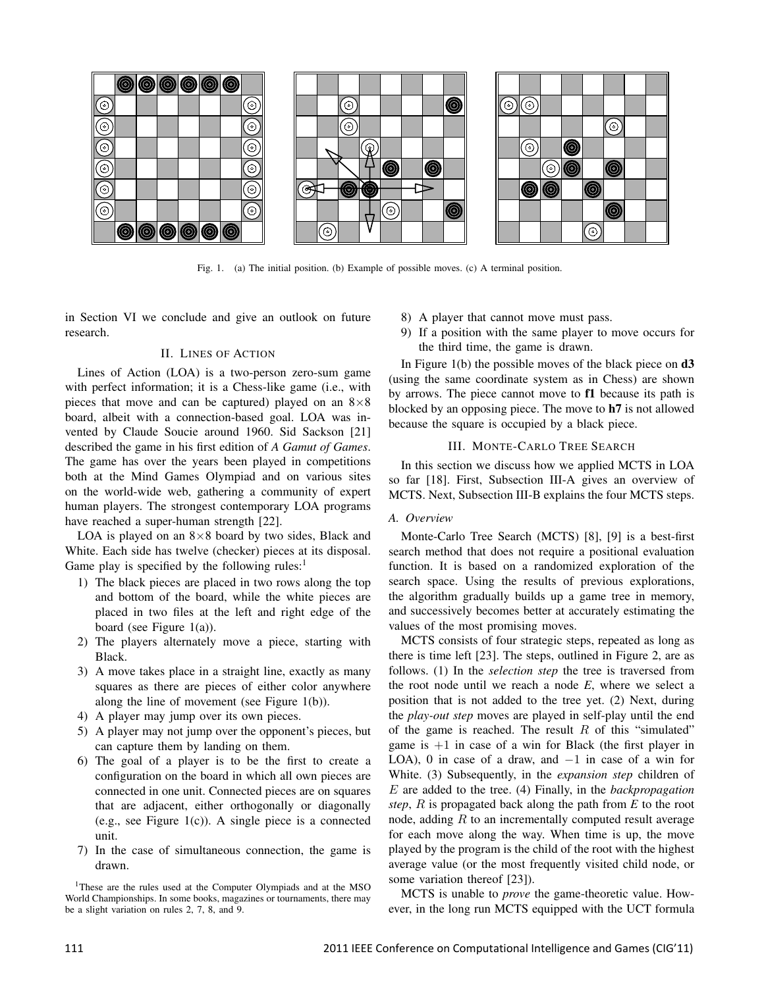

Fig. 1. (a) The initial position. (b) Example of possible moves. (c) A terminal position.

in Section VI we conclude and give an outlook on future research.

## II. LINES OF ACTION

Lines of Action (LOA) is a two-person zero-sum game with perfect information; it is a Chess-like game (i.e., with pieces that move and can be captured) played on an 8*×*8 board, albeit with a connection-based goal. LOA was invented by Claude Soucie around 1960. Sid Sackson [21] described the game in his first edition of *A Gamut of Games*. The game has over the years been played in competitions both at the Mind Games Olympiad and on various sites on the world-wide web, gathering a community of expert human players. The strongest contemporary LOA programs have reached a super-human strength [22].

LOA is played on an 8*×*8 board by two sides, Black and White. Each side has twelve (checker) pieces at its disposal. Game play is specified by the following rules: $<sup>1</sup>$ </sup>

- 1) The black pieces are placed in two rows along the top and bottom of the board, while the white pieces are placed in two files at the left and right edge of the board (see Figure  $1(a)$ ).
- 2) The players alternately move a piece, starting with Black.
- 3) A move takes place in a straight line, exactly as many squares as there are pieces of either color anywhere along the line of movement (see Figure 1(b)).
- 4) A player may jump over its own pieces.
- 5) A player may not jump over the opponent's pieces, but can capture them by landing on them.
- 6) The goal of a player is to be the first to create a configuration on the board in which all own pieces are connected in one unit. Connected pieces are on squares that are adjacent, either orthogonally or diagonally (e.g., see Figure 1(c)). A single piece is a connected unit.
- 7) In the case of simultaneous connection, the game is drawn.

<sup>1</sup>These are the rules used at the Computer Olympiads and at the MSO World Championships. In some books, magazines or tournaments, there may be a slight variation on rules 2, 7, 8, and 9.

- 8) A player that cannot move must pass.
- 9) If a position with the same player to move occurs for the third time, the game is drawn.

In Figure 1(b) the possible moves of the black piece on  $d3$ (using the same coordinate system as in Chess) are shown by arrows. The piece cannot move to f1 because its path is blocked by an opposing piece. The move to h7 is not allowed because the square is occupied by a black piece.

#### III. MONTE-CARLO TREE SEARCH

In this section we discuss how we applied MCTS in LOA so far [18]. First, Subsection III-A gives an overview of MCTS. Next, Subsection III-B explains the four MCTS steps.

# *A. Overview*

Monte-Carlo Tree Search (MCTS) [8], [9] is a best-first search method that does not require a positional evaluation function. It is based on a randomized exploration of the search space. Using the results of previous explorations, the algorithm gradually builds up a game tree in memory, and successively becomes better at accurately estimating the values of the most promising moves.

MCTS consists of four strategic steps, repeated as long as there is time left [23]. The steps, outlined in Figure 2, are as follows. (1) In the *selection step* the tree is traversed from the root node until we reach a node *E*, where we select a position that is not added to the tree yet. (2) Next, during the *play-out step* moves are played in self-play until the end of the game is reached. The result *R* of this "simulated" game is  $+1$  in case of a win for Black (the first player in LOA), 0 in case of a draw, and *−*1 in case of a win for White. (3) Subsequently, in the *expansion step* children of *E* are added to the tree. (4) Finally, in the *backpropagation step*, *R* is propagated back along the path from *E* to the root node, adding *R* to an incrementally computed result average for each move along the way. When time is up, the move played by the program is the child of the root with the highest average value (or the most frequently visited child node, or some variation thereof [23]).

MCTS is unable to *prove* the game-theoretic value. However, in the long run MCTS equipped with the UCT formula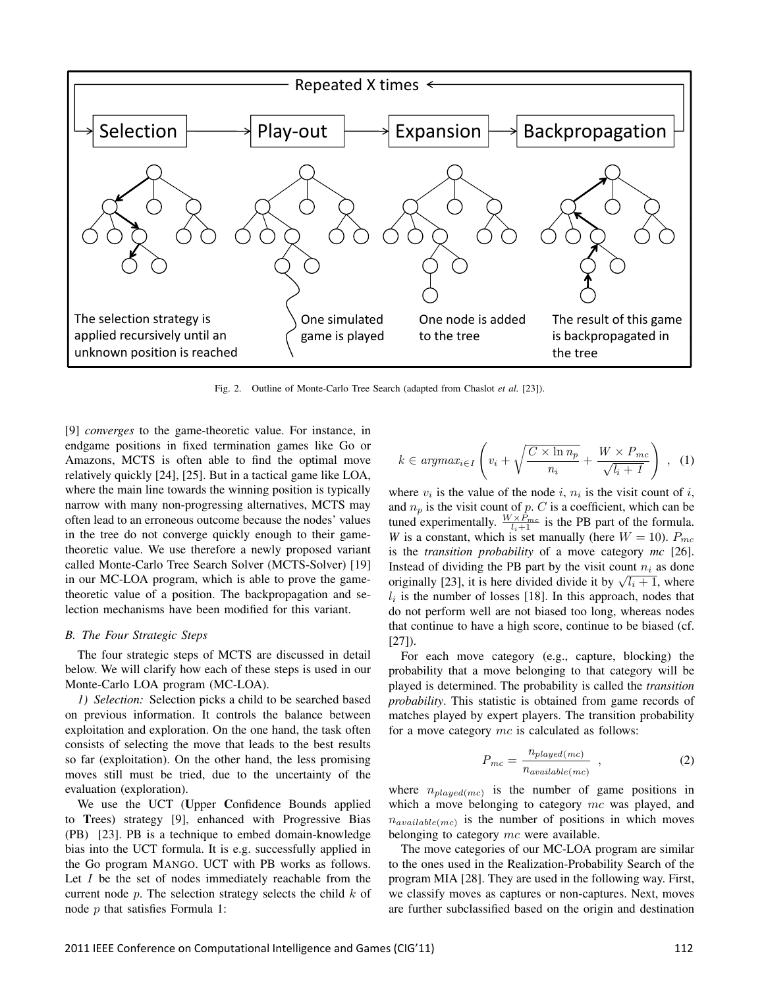

Fig. 2. Outline of Monte-Carlo Tree Search (adapted from Chaslot *et al.* [23]).

[9] *converges* to the game-theoretic value. For instance, in endgame positions in fixed termination games like Go or Amazons, MCTS is often able to find the optimal move relatively quickly [24], [25]. But in a tactical game like LOA, where the main line towards the winning position is typically narrow with many non-progressing alternatives, MCTS may often lead to an erroneous outcome because the nodes' values in the tree do not converge quickly enough to their gametheoretic value. We use therefore a newly proposed variant called Monte-Carlo Tree Search Solver (MCTS-Solver) [19] in our MC-LOA program, which is able to prove the gametheoretic value of a position. The backpropagation and selection mechanisms have been modified for this variant.

### *B. The Four Strategic Steps*

The four strategic steps of MCTS are discussed in detail below. We will clarify how each of these steps is used in our Monte-Carlo LOA program (MC-LOA).

*1) Selection:* Selection picks a child to be searched based on previous information. It controls the balance between exploitation and exploration. On the one hand, the task often consists of selecting the move that leads to the best results so far (exploitation). On the other hand, the less promising moves still must be tried, due to the uncertainty of the evaluation (exploration).

We use the UCT (Upper Confidence Bounds applied to Trees) strategy [9], enhanced with Progressive Bias (PB) [23]. PB is a technique to embed domain-knowledge bias into the UCT formula. It is e.g. successfully applied in the Go program MANGO. UCT with PB works as follows. Let *I* be the set of nodes immediately reachable from the current node *p*. The selection strategy selects the child *k* of node *p* that satisfies Formula 1:

$$
k \in argmax_{i \in I} \left( v_i + \sqrt{\frac{C \times \ln n_p}{n_i}} + \frac{W \times P_{mc}}{\sqrt{l_i + 1}} \right) , \quad (1)
$$

where  $v_i$  is the value of the node  $i$ ,  $n_i$  is the visit count of  $i$ , and  $n_p$  is the visit count of  $p$ .  $C$  is a coefficient, which can be tuned experimentally.  $\frac{W \times P_{mc}}{l_i+1}$  is the PB part of the formula. *W* is a constant, which is set manually (here  $W = 10$ ).  $P_{mc}$ is the *transition probability* of a move category *mc* [26]. Instead of dividing the PB part by the visit count  $n_i$  as done instead of dividing the FB part by the visit count  $n_i$  as done<br>originally [23], it is here divided divide it by  $\sqrt{l_i+1}$ , where  $l_i$  is the number of losses [18]. In this approach, nodes that do not perform well are not biased too long, whereas nodes that continue to have a high score, continue to be biased (cf. [27]).

For each move category (e.g., capture, blocking) the probability that a move belonging to that category will be played is determined. The probability is called the *transition probability*. This statistic is obtained from game records of matches played by expert players. The transition probability for a move category *mc* is calculated as follows:

$$
P_{mc} = \frac{n_{played(mc)}}{n_{available(mc)}}
$$
 (2)

where  $n_{played(mc)}$  is the number of game positions in which a move belonging to category *mc* was played, and  $n_{available(mc)}$  is the number of positions in which moves belonging to category *mc* were available.

The move categories of our MC-LOA program are similar to the ones used in the Realization-Probability Search of the program MIA [28]. They are used in the following way. First, we classify moves as captures or non-captures. Next, moves are further subclassified based on the origin and destination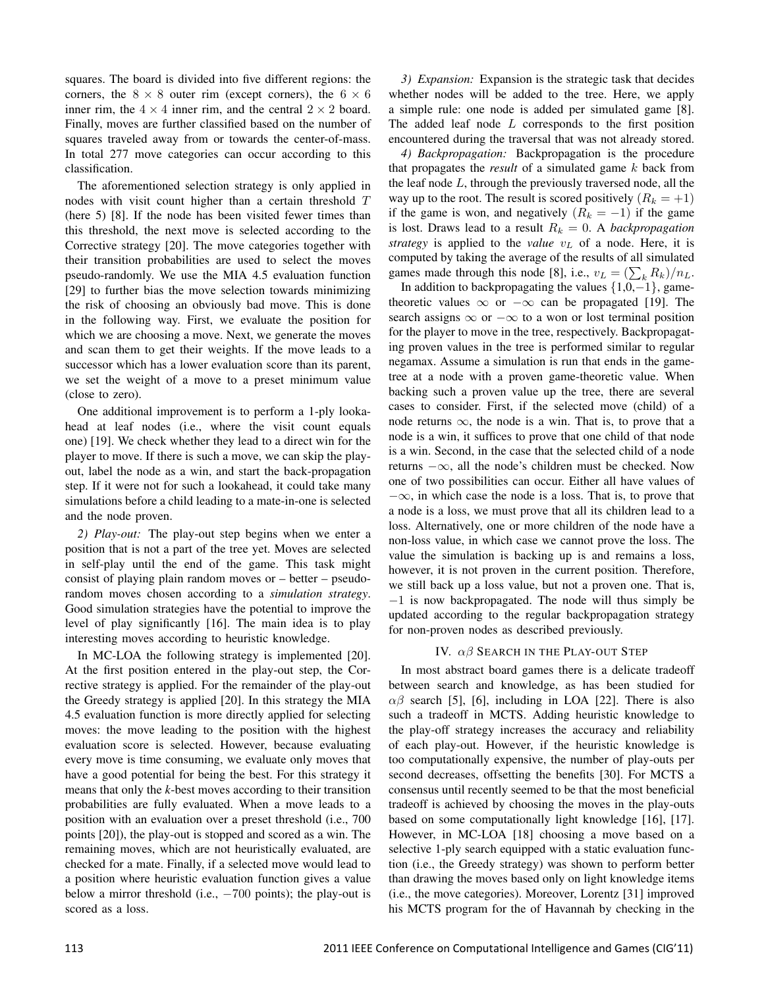squares. The board is divided into five different regions: the corners, the  $8 \times 8$  outer rim (except corners), the  $6 \times 6$ inner rim, the  $4 \times 4$  inner rim, and the central  $2 \times 2$  board. Finally, moves are further classified based on the number of squares traveled away from or towards the center-of-mass. In total 277 move categories can occur according to this classification.

The aforementioned selection strategy is only applied in nodes with visit count higher than a certain threshold *T* (here 5) [8]. If the node has been visited fewer times than this threshold, the next move is selected according to the Corrective strategy [20]. The move categories together with their transition probabilities are used to select the moves pseudo-randomly. We use the MIA 4.5 evaluation function [29] to further bias the move selection towards minimizing the risk of choosing an obviously bad move. This is done in the following way. First, we evaluate the position for which we are choosing a move. Next, we generate the moves and scan them to get their weights. If the move leads to a successor which has a lower evaluation score than its parent, we set the weight of a move to a preset minimum value (close to zero).

One additional improvement is to perform a 1-ply lookahead at leaf nodes (i.e., where the visit count equals one) [19]. We check whether they lead to a direct win for the player to move. If there is such a move, we can skip the playout, label the node as a win, and start the back-propagation step. If it were not for such a lookahead, it could take many simulations before a child leading to a mate-in-one is selected and the node proven.

*2) Play-out:* The play-out step begins when we enter a position that is not a part of the tree yet. Moves are selected in self-play until the end of the game. This task might consist of playing plain random moves or – better – pseudorandom moves chosen according to a *simulation strategy*. Good simulation strategies have the potential to improve the level of play significantly [16]. The main idea is to play interesting moves according to heuristic knowledge.

In MC-LOA the following strategy is implemented [20]. At the first position entered in the play-out step, the Corrective strategy is applied. For the remainder of the play-out the Greedy strategy is applied [20]. In this strategy the MIA 4.5 evaluation function is more directly applied for selecting moves: the move leading to the position with the highest evaluation score is selected. However, because evaluating every move is time consuming, we evaluate only moves that have a good potential for being the best. For this strategy it means that only the *k*-best moves according to their transition probabilities are fully evaluated. When a move leads to a position with an evaluation over a preset threshold (i.e., 700 points [20]), the play-out is stopped and scored as a win. The remaining moves, which are not heuristically evaluated, are checked for a mate. Finally, if a selected move would lead to a position where heuristic evaluation function gives a value below a mirror threshold (i.e., *−*700 points); the play-out is scored as a loss.

*3) Expansion:* Expansion is the strategic task that decides whether nodes will be added to the tree. Here, we apply a simple rule: one node is added per simulated game [8]. The added leaf node *L* corresponds to the first position encountered during the traversal that was not already stored.

*4) Backpropagation:* Backpropagation is the procedure that propagates the *result* of a simulated game *k* back from the leaf node *L*, through the previously traversed node, all the way up to the root. The result is scored positively  $(R_k = +1)$ if the game is won, and negatively  $(R_k = -1)$  if the game is lost. Draws lead to a result  $R_k = 0$ . A *backpropagation strategy* is applied to the *value v<sup>L</sup>* of a node. Here, it is computed by taking the average of the results of all simulated games made through this node [8], i.e.,  $v_L = (\sum_k R_k)/n_L$ .

In addition to backpropagating the values *{*1,0,*−*1*}*, gametheoretic values *∞* or *−∞* can be propagated [19]. The search assigns *∞* or *−∞* to a won or lost terminal position for the player to move in the tree, respectively. Backpropagating proven values in the tree is performed similar to regular negamax. Assume a simulation is run that ends in the gametree at a node with a proven game-theoretic value. When backing such a proven value up the tree, there are several cases to consider. First, if the selected move (child) of a node returns  $\infty$ , the node is a win. That is, to prove that a node is a win, it suffices to prove that one child of that node is a win. Second, in the case that the selected child of a node returns *−∞*, all the node's children must be checked. Now one of two possibilities can occur. Either all have values of *−∞*, in which case the node is a loss. That is, to prove that a node is a loss, we must prove that all its children lead to a loss. Alternatively, one or more children of the node have a non-loss value, in which case we cannot prove the loss. The value the simulation is backing up is and remains a loss, however, it is not proven in the current position. Therefore, we still back up a loss value, but not a proven one. That is, *−*1 is now backpropagated. The node will thus simply be updated according to the regular backpropagation strategy for non-proven nodes as described previously.

# IV. *αβ* SEARCH IN THE PLAY-OUT STEP

In most abstract board games there is a delicate tradeoff between search and knowledge, as has been studied for  $αβ$  search [5], [6], including in LOA [22]. There is also such a tradeoff in MCTS. Adding heuristic knowledge to the play-off strategy increases the accuracy and reliability of each play-out. However, if the heuristic knowledge is too computationally expensive, the number of play-outs per second decreases, offsetting the benefits [30]. For MCTS a consensus until recently seemed to be that the most beneficial tradeoff is achieved by choosing the moves in the play-outs based on some computationally light knowledge [16], [17]. However, in MC-LOA [18] choosing a move based on a selective 1-ply search equipped with a static evaluation function (i.e., the Greedy strategy) was shown to perform better than drawing the moves based only on light knowledge items (i.e., the move categories). Moreover, Lorentz [31] improved his MCTS program for the of Havannah by checking in the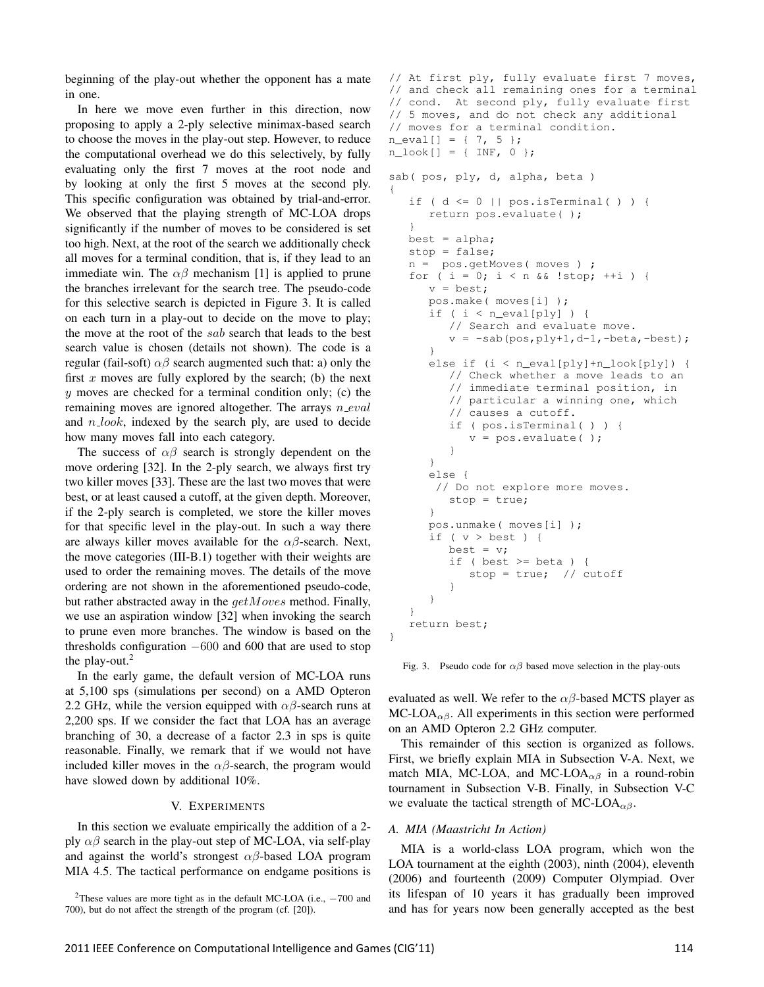beginning of the play-out whether the opponent has a mate in one.

In here we move even further in this direction, now proposing to apply a 2-ply selective minimax-based search to choose the moves in the play-out step. However, to reduce the computational overhead we do this selectively, by fully evaluating only the first 7 moves at the root node and by looking at only the first 5 moves at the second ply. This specific configuration was obtained by trial-and-error. We observed that the playing strength of MC-LOA drops significantly if the number of moves to be considered is set too high. Next, at the root of the search we additionally check all moves for a terminal condition, that is, if they lead to an immediate win. The  $\alpha\beta$  mechanism [1] is applied to prune the branches irrelevant for the search tree. The pseudo-code for this selective search is depicted in Figure 3. It is called on each turn in a play-out to decide on the move to play; the move at the root of the *sab* search that leads to the best search value is chosen (details not shown). The code is a regular (fail-soft)  $\alpha\beta$  search augmented such that: a) only the first  $x$  moves are fully explored by the search; (b) the next *y* moves are checked for a terminal condition only; (c) the remaining moves are ignored altogether. The arrays *n eval* and *n look*, indexed by the search ply, are used to decide how many moves fall into each category.

The success of  $\alpha\beta$  search is strongly dependent on the move ordering [32]. In the 2-ply search, we always first try two killer moves [33]. These are the last two moves that were best, or at least caused a cutoff, at the given depth. Moreover, if the 2-ply search is completed, we store the killer moves for that specific level in the play-out. In such a way there are always killer moves available for the  $\alpha\beta$ -search. Next, the move categories (III-B.1) together with their weights are used to order the remaining moves. The details of the move ordering are not shown in the aforementioned pseudo-code, but rather abstracted away in the *getMoves* method. Finally, we use an aspiration window [32] when invoking the search to prune even more branches. The window is based on the thresholds configuration *−*600 and 600 that are used to stop the play-out. $2$ 

In the early game, the default version of MC-LOA runs at 5,100 sps (simulations per second) on a AMD Opteron 2.2 GHz, while the version equipped with  $\alpha\beta$ -search runs at 2,200 sps. If we consider the fact that LOA has an average branching of 30, a decrease of a factor 2.3 in sps is quite reasonable. Finally, we remark that if we would not have included killer moves in the  $\alpha\beta$ -search, the program would have slowed down by additional 10%.

## V. EXPERIMENTS

In this section we evaluate empirically the addition of a 2 ply  $\alpha\beta$  search in the play-out step of MC-LOA, via self-play and against the world's strongest *αβ*-based LOA program MIA 4.5. The tactical performance on endgame positions is

```
// At first ply, fully evaluate first 7 moves,
// and check all remaining ones for a terminal
// cond. At second ply, fully evaluate first
// 5 moves, and do not check any additional
// moves for a terminal condition.
n<sup>[]</sup> = { 7, 5 };
n\_look[] = { INF, 0 };sab( pos, ply, d, alpha, beta )
{
   if ( d \le 0 || pos.isTerminal( ) ) {
      return pos.evaluate( );
   }
  best = alpha;stop = false;
  n = pos.getMoves( moves ) ;
   for ( i = 0; i < n && !stop; +i ) {
      v = \text{best};
      pos.make( moves[i] );
      if ( i < n_eval[ply] ) {
         // Search and evaluate move.
         v = -sab(pos, ply+1, d-1, -beta, -best);}
      else if (i < n_eval[ply]+n_look[ply]) {
         // Check whether a move leads to an
         // immediate terminal position, in
         // particular a winning one, which
         // causes a cutoff.
         if ( pos.isTerminal( ) ) {
            v = pos.evaluate( );
         }
      }
      else {
       // Do not explore more moves.
         stop = true;
      }
      pos.unmake( moves[i] );
      if (v > best) {
         best = v;if ( best >= beta ) {
            stop = true; // cutoff
         }
      }
   }
   return best;
}
```
Fig. 3. Pseudo code for  $\alpha\beta$  based move selection in the play-outs

evaluated as well. We refer to the  $\alpha\beta$ -based MCTS player as  $MC\text{-}LOA_{\alpha\beta}$ . All experiments in this section were performed on an AMD Opteron 2.2 GHz computer.

This remainder of this section is organized as follows. First, we briefly explain MIA in Subsection V-A. Next, we match MIA, MC-LOA, and MC-LOA<sub> $\alpha\beta$ </sub> in a round-robin tournament in Subsection V-B. Finally, in Subsection V-C we evaluate the tactical strength of MC-LOA<sub> $\alpha\beta$ </sub>.

## *A. MIA (Maastricht In Action)*

MIA is a world-class LOA program, which won the LOA tournament at the eighth (2003), ninth (2004), eleventh (2006) and fourteenth (2009) Computer Olympiad. Over its lifespan of 10 years it has gradually been improved and has for years now been generally accepted as the best

<sup>2</sup>These values are more tight as in the default MC-LOA (i.e., *<sup>−</sup>*<sup>700</sup> and 700), but do not affect the strength of the program (cf. [20]).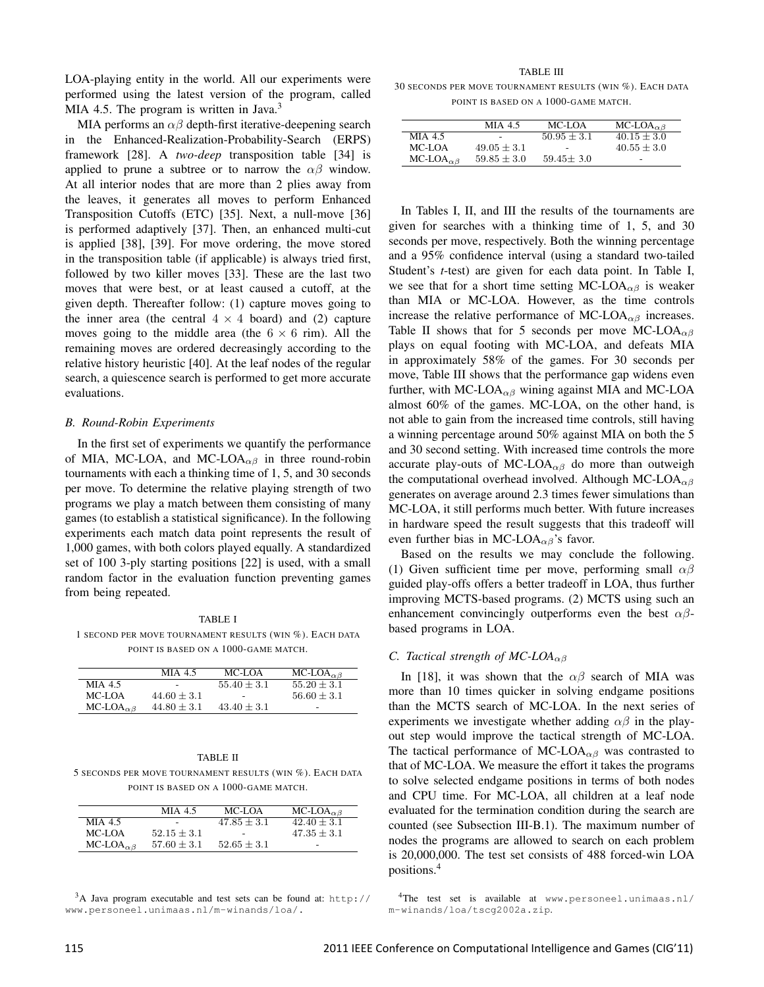LOA-playing entity in the world. All our experiments were performed using the latest version of the program, called MIA 4.5. The program is written in Java.<sup>3</sup>

MIA performs an  $\alpha\beta$  depth-first iterative-deepening search in the Enhanced-Realization-Probability-Search (ERPS) framework [28]. A *two-deep* transposition table [34] is applied to prune a subtree or to narrow the *αβ* window. At all interior nodes that are more than 2 plies away from the leaves, it generates all moves to perform Enhanced Transposition Cutoffs (ETC) [35]. Next, a null-move [36] is performed adaptively [37]. Then, an enhanced multi-cut is applied [38], [39]. For move ordering, the move stored in the transposition table (if applicable) is always tried first, followed by two killer moves [33]. These are the last two moves that were best, or at least caused a cutoff, at the given depth. Thereafter follow: (1) capture moves going to the inner area (the central  $4 \times 4$  board) and (2) capture moves going to the middle area (the  $6 \times 6$  rim). All the remaining moves are ordered decreasingly according to the relative history heuristic [40]. At the leaf nodes of the regular search, a quiescence search is performed to get more accurate evaluations.

#### *B. Round-Robin Experiments*

In the first set of experiments we quantify the performance of MIA, MC-LOA, and MC-LOA*αβ* in three round-robin tournaments with each a thinking time of 1, 5, and 30 seconds per move. To determine the relative playing strength of two programs we play a match between them consisting of many games (to establish a statistical significance). In the following experiments each match data point represents the result of 1,000 games, with both colors played equally. A standardized set of 100 3-ply starting positions [22] is used, with a small random factor in the evaluation function preventing games from being repeated.

TABLE I 1 SECOND PER MOVE TOURNAMENT RESULTS (WIN %). EACH DATA POINT IS BASED ON A 1000-GAME MATCH.

|                                                         | MIA 4.5       | MC-LOA                   | $MC\text{-LOA}_{\alpha\beta}$ |
|---------------------------------------------------------|---------------|--------------------------|-------------------------------|
| MIA 4.5                                                 | ٠             | $55.40 \pm 3.1$          | $55.20 + 3.1$                 |
| MC-LOA                                                  | $44.60 + 3.1$ | $\overline{\phantom{0}}$ | $56.60 \pm 3.1$               |
| MC-LOA <sub><math>\alpha</math><math>\beta</math></sub> | $44.80 + 3.1$ | $43.40 \pm 3.1$          | ٠                             |

| TABLE II                                                 |  |  |  |  |
|----------------------------------------------------------|--|--|--|--|
| 5 SECONDS PER MOVE TOURNAMENT RESULTS (WIN %). EACH DATA |  |  |  |  |
| POINT IS BASED ON A 1000-GAME MATCH.                     |  |  |  |  |

|                               | MIA 4.5                  | MC-LOA        | $MC\text{-LOA}_{\alpha\beta}$ |
|-------------------------------|--------------------------|---------------|-------------------------------|
| MIA 4.5                       | $\overline{\phantom{a}}$ | $47.85 + 3.1$ | $42.40 \pm 3.1$               |
| MC-LOA                        | $52.15 + 3.1$            |               | $47.35 + 3.1$                 |
| $MC\text{-LOA}_{\alpha\beta}$ | $57.60 \pm 3.1$          | $52.65 + 3.1$ | -                             |

<sup>3</sup>A Java program executable and test sets can be found at: http:// www.personeel.unimaas.nl/m-winands/loa/.

TABLE III

30 SECONDS PER MOVE TOURNAMENT RESULTS (WIN %). EACH DATA POINT IS BASED ON A 1000-GAME MATCH.

|                                                         | $MIA$ 4.5       | MC-LOA                   | $MC\text{-LOA}_{\alpha\beta}$ |
|---------------------------------------------------------|-----------------|--------------------------|-------------------------------|
| MIA 4.5                                                 | $\sim$          | $50.95 + 3.1$            | $40.15 + 3.0$                 |
| MC-LOA                                                  | $49.05 + 3.1$   | $\overline{\phantom{a}}$ | $40.55 + 3.0$                 |
| MC-LOA <sub><math>\alpha</math><math>\beta</math></sub> | $59.85 \pm 3.0$ | $59.45 + 3.0$            | $\overline{\phantom{a}}$      |

In Tables I, II, and III the results of the tournaments are given for searches with a thinking time of 1, 5, and 30 seconds per move, respectively. Both the winning percentage and a 95% confidence interval (using a standard two-tailed Student's *t*-test) are given for each data point. In Table I, we see that for a short time setting MC-LOA<sub> $\alpha\beta$ </sub> is weaker than MIA or MC-LOA. However, as the time controls increase the relative performance of MC-LOA<sub> $\alpha\beta$ </sub> increases. Table II shows that for 5 seconds per move MC-LOA<sub> $\alpha\beta$ </sub> plays on equal footing with MC-LOA, and defeats MIA in approximately 58% of the games. For 30 seconds per move, Table III shows that the performance gap widens even further, with MC-LOA $_{\alpha\beta}$  wining against MIA and MC-LOA almost 60% of the games. MC-LOA, on the other hand, is not able to gain from the increased time controls, still having a winning percentage around 50% against MIA on both the 5 and 30 second setting. With increased time controls the more accurate play-outs of MC-LOA<sub> $\alpha\beta$ </sub> do more than outweigh the computational overhead involved. Although MC-LOA*αβ* generates on average around 2.3 times fewer simulations than MC-LOA, it still performs much better. With future increases in hardware speed the result suggests that this tradeoff will even further bias in MC-LOA*αβ*'s favor.

Based on the results we may conclude the following. (1) Given sufficient time per move, performing small *αβ* guided play-offs offers a better tradeoff in LOA, thus further improving MCTS-based programs. (2) MCTS using such an enhancement convincingly outperforms even the best *αβ*based programs in LOA.

## *C. Tactical strength of MC-LOAαβ*

In [18], it was shown that the  $\alpha\beta$  search of MIA was more than 10 times quicker in solving endgame positions than the MCTS search of MC-LOA. In the next series of experiments we investigate whether adding  $\alpha\beta$  in the playout step would improve the tactical strength of MC-LOA. The tactical performance of MC-LOA<sub> $\alpha\beta$ </sub> was contrasted to that of MC-LOA. We measure the effort it takes the programs to solve selected endgame positions in terms of both nodes and CPU time. For MC-LOA, all children at a leaf node evaluated for the termination condition during the search are counted (see Subsection III-B.1). The maximum number of nodes the programs are allowed to search on each problem is 20,000,000. The test set consists of 488 forced-win LOA positions.<sup>4</sup>

<sup>4</sup>The test set is available at www.personeel.unimaas.nl/ m-winands/loa/tscg2002a.zip.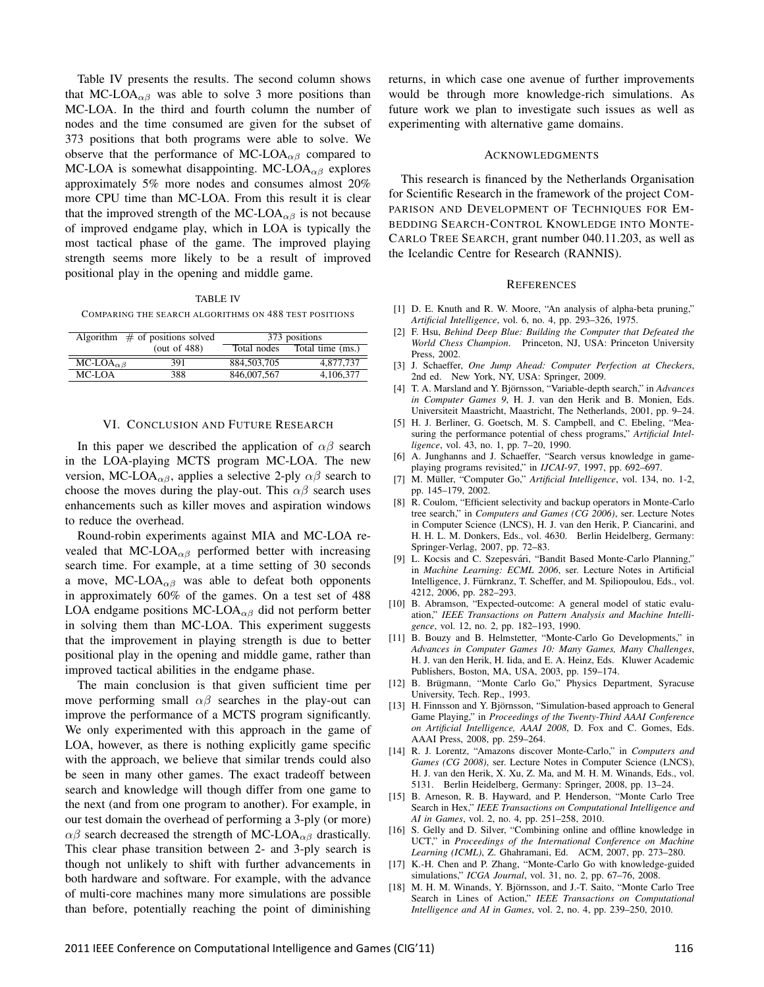Table IV presents the results. The second column shows that MC-LOA<sub> $\alpha\beta$ </sub> was able to solve 3 more positions than MC-LOA. In the third and fourth column the number of nodes and the time consumed are given for the subset of 373 positions that both programs were able to solve. We observe that the performance of MC-LOA<sub> $\alpha\beta$ </sub> compared to MC-LOA is somewhat disappointing. MC-LOA*αβ* explores approximately 5% more nodes and consumes almost 20% more CPU time than MC-LOA. From this result it is clear that the improved strength of the MC-LOA<sub> $\alpha\beta$ </sub> is not because of improved endgame play, which in LOA is typically the most tactical phase of the game. The improved playing strength seems more likely to be a result of improved positional play in the opening and middle game.

TABLE IV

COMPARING THE SEARCH ALGORITHMS ON 488 TEST POSITIONS

|                               | Algorithm $\#$ of positions solved | 373 positions |                  |
|-------------------------------|------------------------------------|---------------|------------------|
|                               | (out of $488$ )                    | Total nodes   | Total time (ms.) |
| $MC\text{-LOA}_{\alpha\beta}$ | 391                                | 884, 503, 705 | 4,877,737        |
| $MC-I$ $OA$                   | 388                                | 846,007,567   | 4,106,377        |

#### VI. CONCLUSION AND FUTURE RESEARCH

In this paper we described the application of  $\alpha\beta$  search in the LOA-playing MCTS program MC-LOA. The new version, MC-LOA<sub> $\alpha\beta$ </sub>, applies a selective 2-ply  $\alpha\beta$  search to choose the moves during the play-out. This  $\alpha\beta$  search uses enhancements such as killer moves and aspiration windows to reduce the overhead.

Round-robin experiments against MIA and MC-LOA revealed that MC-LOA<sub> $\alpha\beta$ </sub> performed better with increasing search time. For example, at a time setting of 30 seconds a move, MC-LOA $_{\alpha\beta}$  was able to defeat both opponents in approximately 60% of the games. On a test set of 488 LOA endgame positions MC-LOA*αβ* did not perform better in solving them than MC-LOA. This experiment suggests that the improvement in playing strength is due to better positional play in the opening and middle game, rather than improved tactical abilities in the endgame phase.

The main conclusion is that given sufficient time per move performing small  $\alpha\beta$  searches in the play-out can improve the performance of a MCTS program significantly. We only experimented with this approach in the game of LOA, however, as there is nothing explicitly game specific with the approach, we believe that similar trends could also be seen in many other games. The exact tradeoff between search and knowledge will though differ from one game to the next (and from one program to another). For example, in our test domain the overhead of performing a 3-ply (or more) *αβ* search decreased the strength of MC-LOA<sub>*αβ*</sub> drastically. This clear phase transition between 2- and 3-ply search is though not unlikely to shift with further advancements in both hardware and software. For example, with the advance of multi-core machines many more simulations are possible than before, potentially reaching the point of diminishing returns, in which case one avenue of further improvements would be through more knowledge-rich simulations. As future work we plan to investigate such issues as well as experimenting with alternative game domains.

#### ACKNOWLEDGMENTS

This research is financed by the Netherlands Organisation for Scientific Research in the framework of the project COM-PARISON AND DEVELOPMENT OF TECHNIQUES FOR EM-BEDDING SEARCH-CONTROL KNOWLEDGE INTO MONTE-CARLO TREE SEARCH, grant number 040.11.203, as well as the Icelandic Centre for Research (RANNIS).

#### **REFERENCES**

- [1] D. E. Knuth and R. W. Moore, "An analysis of alpha-beta pruning," *Artificial Intelligence*, vol. 6, no. 4, pp. 293–326, 1975.
- [2] F. Hsu, *Behind Deep Blue: Building the Computer that Defeated the World Chess Champion*. Princeton, NJ, USA: Princeton University Press, 2002.
- [3] J. Schaeffer, *One Jump Ahead: Computer Perfection at Checkers*, 2nd ed. New York, NY, USA: Springer, 2009.
- [4] T. A. Marsland and Y. Björnsson, "Variable-depth search," in *Advances in Computer Games 9*, H. J. van den Herik and B. Monien, Eds. Universiteit Maastricht, Maastricht, The Netherlands, 2001, pp. 9–24.
- [5] H. J. Berliner, G. Goetsch, M. S. Campbell, and C. Ebeling, "Measuring the performance potential of chess programs," *Artificial Intelligence*, vol. 43, no. 1, pp. 7–20, 1990.
- [6] A. Junghanns and J. Schaeffer, "Search versus knowledge in gameplaying programs revisited," in *IJCAI-97*, 1997, pp. 692–697.
- [7] M. Müller, "Computer Go," Artificial Intelligence, vol. 134, no. 1-2, pp. 145–179, 2002.
- [8] R. Coulom, "Efficient selectivity and backup operators in Monte-Carlo tree search," in *Computers and Games (CG 2006)*, ser. Lecture Notes in Computer Science (LNCS), H. J. van den Herik, P. Ciancarini, and H. H. L. M. Donkers, Eds., vol. 4630. Berlin Heidelberg, Germany: Springer-Verlag, 2007, pp. 72–83.
- [9] L. Kocsis and C. Szepesvári, "Bandit Based Monte-Carlo Planning," in *Machine Learning: ECML 2006*, ser. Lecture Notes in Artificial Intelligence, J. Furnkranz, T. Scheffer, and M. Spiliopoulou, Eds., vol. ¨ 4212, 2006, pp. 282–293.
- [10] B. Abramson, "Expected-outcome: A general model of static evaluation," *IEEE Transactions on Pattern Analysis and Machine Intelligence*, vol. 12, no. 2, pp. 182–193, 1990.
- [11] B. Bouzy and B. Helmstetter, "Monte-Carlo Go Developments," in *Advances in Computer Games 10: Many Games, Many Challenges*, H. J. van den Herik, H. Iida, and E. A. Heinz, Eds. Kluwer Academic Publishers, Boston, MA, USA, 2003, pp. 159–174.
- [12] B. Brügmann, "Monte Carlo Go," Physics Department, Syracuse University, Tech. Rep., 1993.
- [13] H. Finnsson and Y. Björnsson, "Simulation-based approach to General Game Playing," in *Proceedings of the Twenty-Third AAAI Conference on Artificial Intelligence, AAAI 2008*, D. Fox and C. Gomes, Eds. AAAI Press, 2008, pp. 259–264.
- [14] R. J. Lorentz, "Amazons discover Monte-Carlo," in *Computers and Games (CG 2008)*, ser. Lecture Notes in Computer Science (LNCS), H. J. van den Herik, X. Xu, Z. Ma, and M. H. M. Winands, Eds., vol. 5131. Berlin Heidelberg, Germany: Springer, 2008, pp. 13–24.
- [15] B. Arneson, R. B. Hayward, and P. Henderson, "Monte Carlo Tree Search in Hex," *IEEE Transactions on Computational Intelligence and AI in Games*, vol. 2, no. 4, pp. 251–258, 2010.
- [16] S. Gelly and D. Silver, "Combining online and offline knowledge in UCT," in *Proceedings of the International Conference on Machine Learning (ICML)*, Z. Ghahramani, Ed. ACM, 2007, pp. 273–280.
- [17] K.-H. Chen and P. Zhang, "Monte-Carlo Go with knowledge-guided simulations," *ICGA Journal*, vol. 31, no. 2, pp. 67–76, 2008.
- [18] M. H. M. Winands, Y. Björnsson, and J.-T. Saito, "Monte Carlo Tree Search in Lines of Action," *IEEE Transactions on Computational Intelligence and AI in Games*, vol. 2, no. 4, pp. 239–250, 2010.